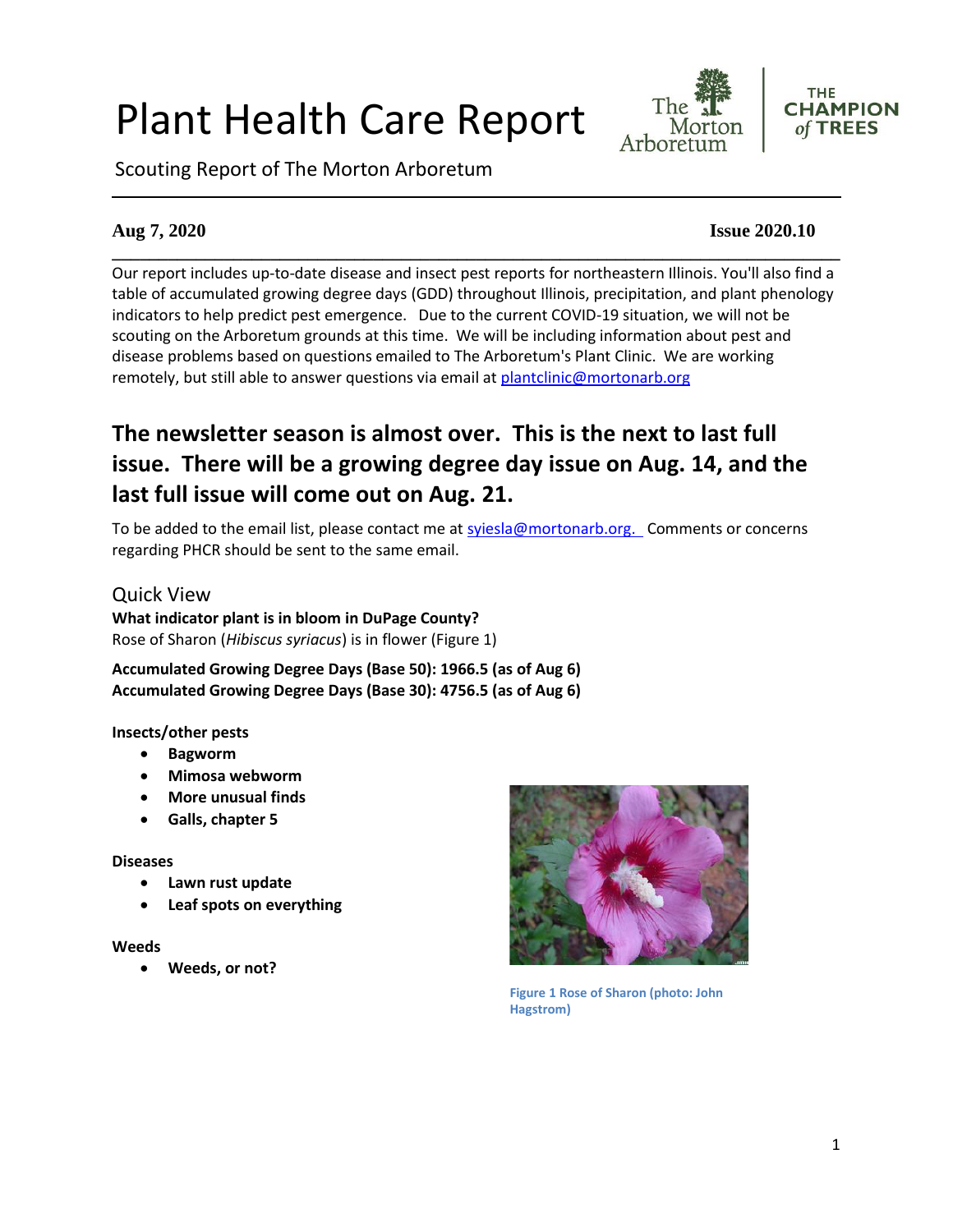# Plant Health Care Report





Scouting Report of The Morton Arboretum

#### **Aug 7, 2020 Issue 2020.10**

**\_\_\_\_\_\_\_\_\_\_\_\_\_\_\_\_\_\_\_\_\_\_\_\_\_\_\_\_\_\_\_\_\_\_\_\_\_\_\_\_\_\_\_\_\_\_\_\_\_\_\_\_\_\_\_\_\_\_\_\_\_\_\_\_\_\_\_\_\_\_\_\_\_\_\_\_\_\_** Our report includes up-to-date disease and insect pest reports for northeastern Illinois. You'll also find a table of accumulated growing degree days (GDD) throughout Illinois, precipitation, and plant phenology indicators to help predict pest emergence. Due to the current COVID-19 situation, we will not be scouting on the Arboretum grounds at this time. We will be including information about pest and disease problems based on questions emailed to The Arboretum's Plant Clinic. We are working remotely, but still able to answer questions via email at [plantclinic@mortonarb.org](mailto:plantclinic@mortonarb.org)

# **The newsletter season is almost over. This is the next to last full issue. There will be a growing degree day issue on Aug. 14, and the last full issue will come out on Aug. 21.**

To be added to the email list, please contact me at sviesla@mortonarb.org. Comments or concerns regarding PHCR should be sent to the same email.

#### Quick View **What indicator plant is in bloom in DuPage County?** Rose of Sharon (*Hibiscus syriacus*) is in flower (Figure 1)

**Accumulated Growing Degree Days (Base 50): 1966.5 (as of Aug 6) Accumulated Growing Degree Days (Base 30): 4756.5 (as of Aug 6)**

#### **Insects/other pests**

- **Bagworm**
- **Mimosa webworm**
- **More unusual finds**
- **Galls, chapter 5**

#### **Diseases**

- **Lawn rust update**
- **Leaf spots on everything**

#### **Weeds**

• **Weeds, or not?**



**Figure 1 Rose of Sharon (photo: John Hagstrom)**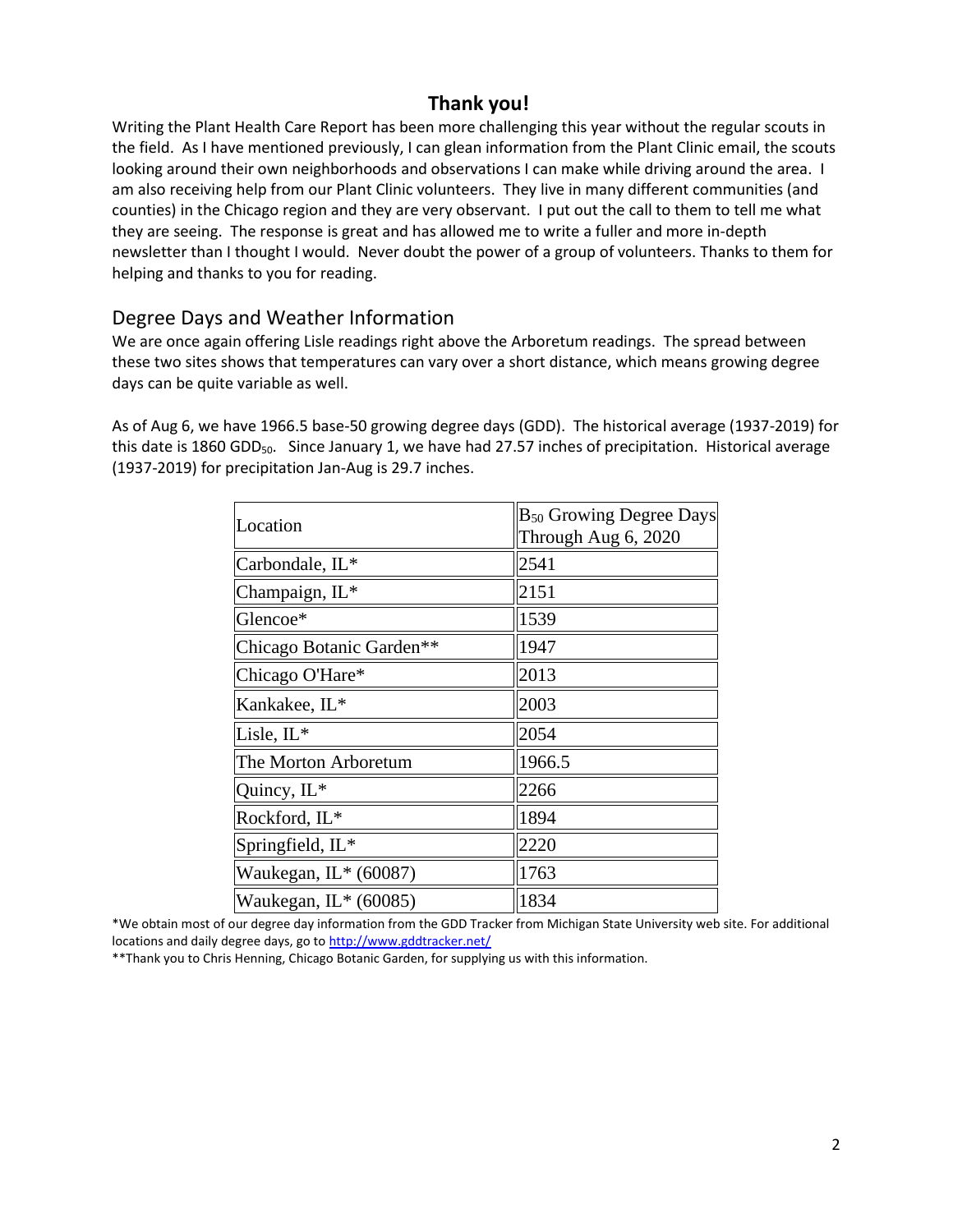# **Thank you!**

Writing the Plant Health Care Report has been more challenging this year without the regular scouts in the field. As I have mentioned previously, I can glean information from the Plant Clinic email, the scouts looking around their own neighborhoods and observations I can make while driving around the area. I am also receiving help from our Plant Clinic volunteers. They live in many different communities (and counties) in the Chicago region and they are very observant. I put out the call to them to tell me what they are seeing. The response is great and has allowed me to write a fuller and more in-depth newsletter than I thought I would. Never doubt the power of a group of volunteers. Thanks to them for helping and thanks to you for reading.

# Degree Days and Weather Information

We are once again offering Lisle readings right above the Arboretum readings. The spread between these two sites shows that temperatures can vary over a short distance, which means growing degree days can be quite variable as well.

As of Aug 6, we have 1966.5 base-50 growing degree days (GDD). The historical average (1937-2019) for this date is 1860 GDD $_{50}$ . Since January 1, we have had 27.57 inches of precipitation. Historical average (1937-2019) for precipitation Jan-Aug is 29.7 inches.

| Location                 | <b>B</b> <sub>50</sub> Growing Degree Days |
|--------------------------|--------------------------------------------|
|                          | Through Aug 6, 2020                        |
| Carbondale, IL*          | 2541                                       |
| Champaign, IL*           | 2151                                       |
| Glencoe*                 | 1539                                       |
| Chicago Botanic Garden** | 1947                                       |
| Chicago O'Hare*          | 2013                                       |
| Kankakee, IL*            | 2003                                       |
| Lisle, $IL^*$            | 2054                                       |
| The Morton Arboretum     | 1966.5                                     |
| Quincy, IL*              | 2266                                       |
| Rockford, IL*            | 1894                                       |
| Springfield, IL*         | 2220                                       |
| Waukegan, $IL*$ (60087)  | 1763                                       |
| Waukegan, IL* (60085)    | 1834                                       |

\*We obtain most of our degree day information from the GDD Tracker from Michigan State University web site. For additional locations and daily degree days, go t[o http://www.gddtracker.net/](http://www.gddtracker.net/)

\*\*Thank you to Chris Henning, Chicago Botanic Garden, for supplying us with this information.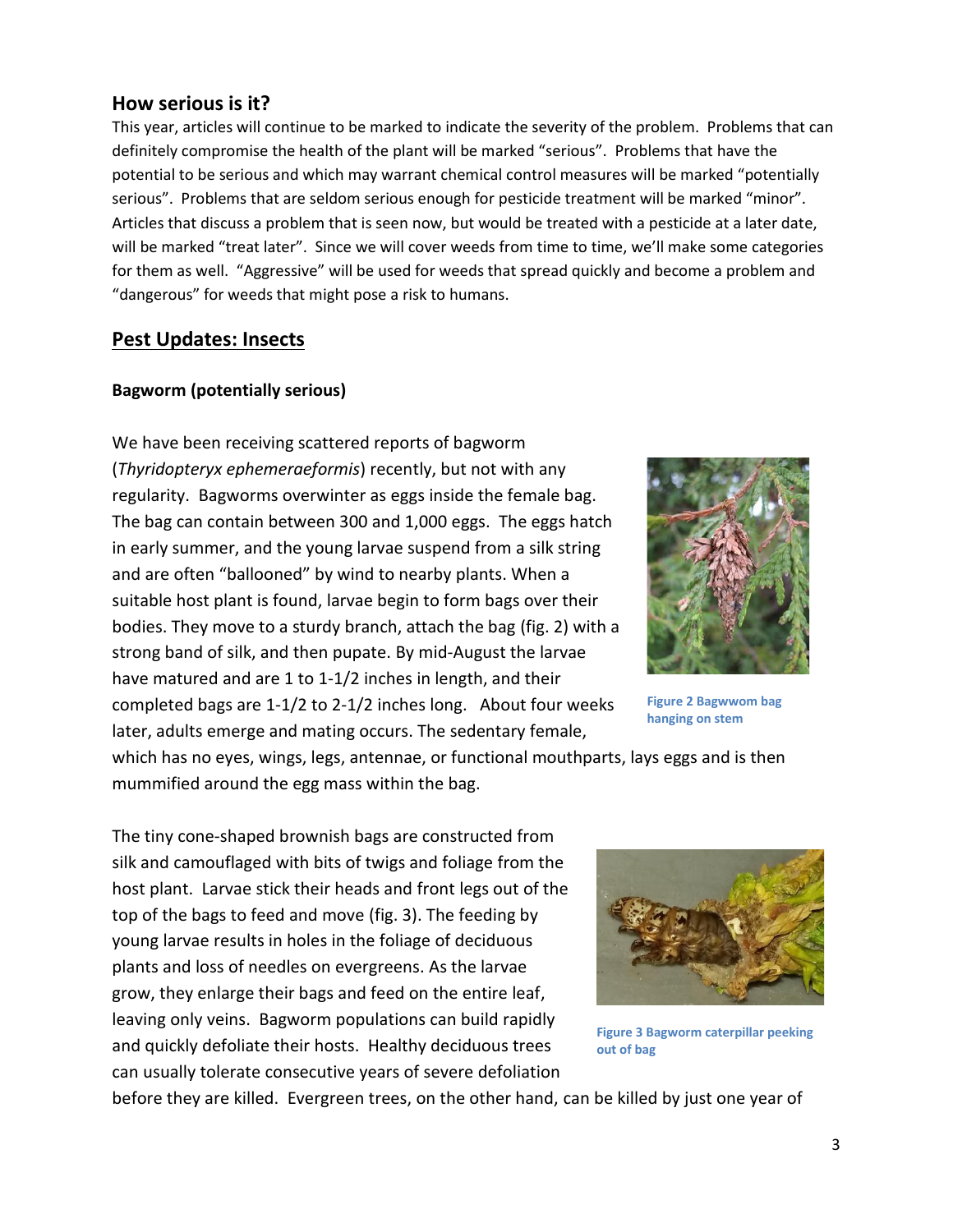#### **How serious is it?**

This year, articles will continue to be marked to indicate the severity of the problem. Problems that can definitely compromise the health of the plant will be marked "serious".Problems that have the potential to be serious and which may warrant chemical control measures will be marked "potentially serious". Problems that are seldom serious enough for pesticide treatment will be marked "minor". Articles that discuss a problem that is seen now, but would be treated with a pesticide at a later date, will be marked "treat later". Since we will cover weeds from time to time, we'll make some categories for them as well. "Aggressive" will be used for weeds that spread quickly and become a problem and "dangerous" for weeds that might pose a risk to humans.

#### **Pest Updates: Insects**

#### **Bagworm (potentially serious)**

We have been receiving scattered reports of bagworm (*Thyridopteryx ephemeraeformis*) recently, but not with any regularity. Bagworms overwinter as eggs inside the female bag. The bag can contain between 300 and 1,000 eggs. The eggs hatch in early summer, and the young larvae suspend from a silk string and are often "ballooned" by wind to nearby plants. When a suitable host plant is found, larvae begin to form bags over their bodies. They move to a sturdy branch, attach the bag (fig. 2) with a strong band of silk, and then pupate. By mid-August the larvae have matured and are 1 to 1-1/2 inches in length, and their completed bags are 1-1/2 to 2-1/2 inches long. About four weeks later, adults emerge and mating occurs. The sedentary female,



**Figure 2 Bagwwom bag hanging on stem**

which has no eyes, wings, legs, antennae, or functional mouthparts, lays eggs and is then mummified around the egg mass within the bag.

The tiny cone-shaped brownish bags are constructed from silk and camouflaged with bits of twigs and foliage from the host plant. Larvae stick their heads and front legs out of the top of the bags to feed and move (fig. 3). The feeding by young larvae results in holes in the foliage of deciduous plants and loss of needles on evergreens. As the larvae grow, they enlarge their bags and feed on the entire leaf, leaving only veins. Bagworm populations can build rapidly and quickly defoliate their hosts. Healthy deciduous trees can usually tolerate consecutive years of severe defoliation



**Figure 3 Bagworm caterpillar peeking out of bag**

before they are killed. Evergreen trees, on the other hand, can be killed by just one year of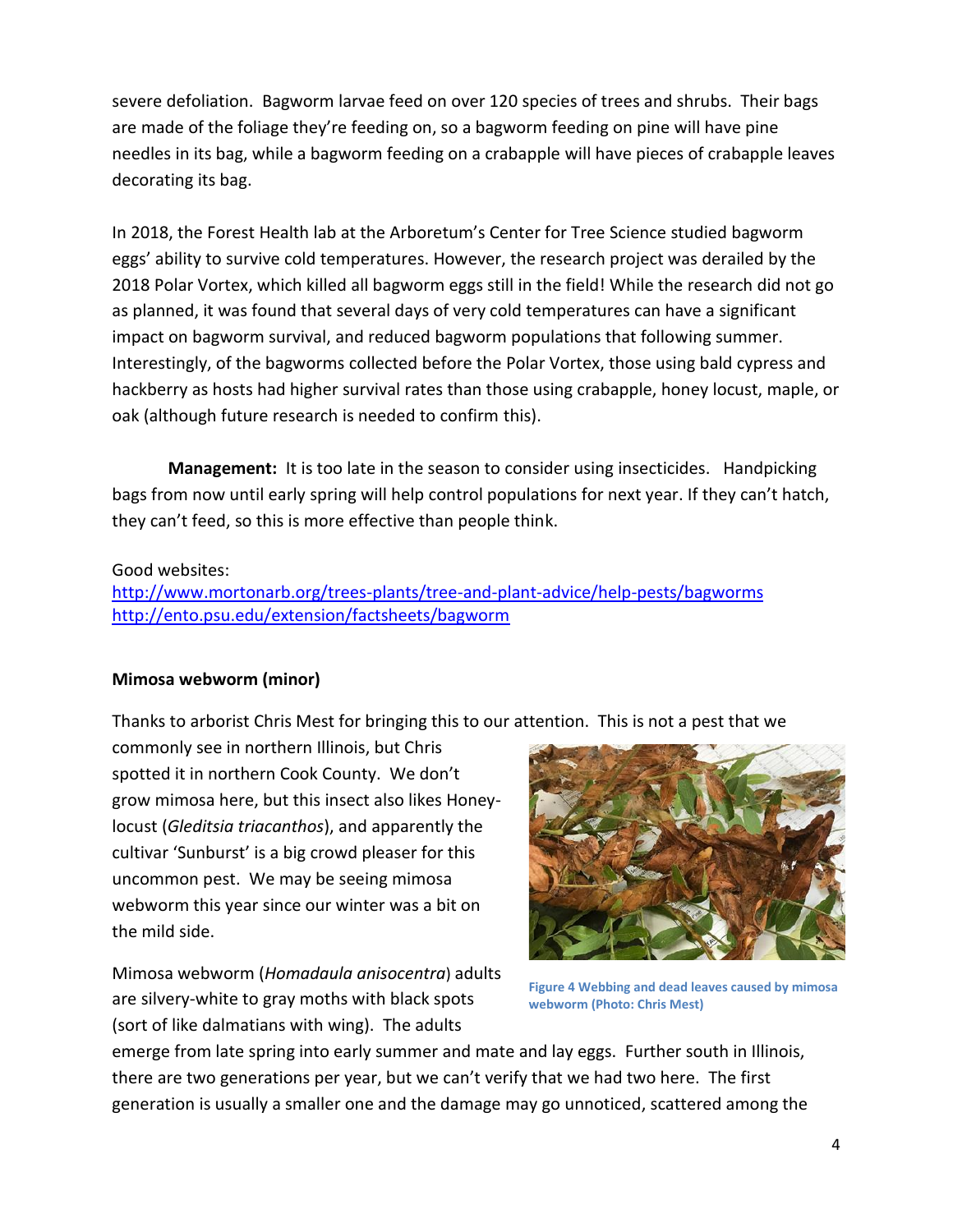severe defoliation. Bagworm larvae feed on over 120 species of trees and shrubs. Their bags are made of the foliage they're feeding on, so a bagworm feeding on pine will have pine needles in its bag, while a bagworm feeding on a crabapple will have pieces of crabapple leaves decorating its bag.

In 2018, the Forest Health lab at the Arboretum's Center for Tree Science studied bagworm eggs' ability to survive cold temperatures. However, the research project was derailed by the 2018 Polar Vortex, which killed all bagworm eggs still in the field! While the research did not go as planned, it was found that several days of very cold temperatures can have a significant impact on bagworm survival, and reduced bagworm populations that following summer. Interestingly, of the bagworms collected before the Polar Vortex, those using bald cypress and hackberry as hosts had higher survival rates than those using crabapple, honey locust, maple, or oak (although future research is needed to confirm this).

**Management:** It is too late in the season to consider using insecticides. Handpicking bags from now until early spring will help control populations for next year. If they can't hatch, they can't feed, so this is more effective than people think.

#### Good websites:

<http://www.mortonarb.org/trees-plants/tree-and-plant-advice/help-pests/bagworms> <http://ento.psu.edu/extension/factsheets/bagworm>

#### **Mimosa webworm (minor)**

Thanks to arborist Chris Mest for bringing this to our attention. This is not a pest that we

commonly see in northern Illinois, but Chris spotted it in northern Cook County. We don't grow mimosa here, but this insect also likes Honeylocust (*Gleditsia triacanthos*), and apparently the cultivar 'Sunburst' is a big crowd pleaser for this uncommon pest. We may be seeing mimosa webworm this year since our winter was a bit on the mild side.

Mimosa webworm (*Homadaula anisocentra*) adults are silvery-white to gray moths with black spots (sort of like dalmatians with wing). The adults



**Figure 4 Webbing and dead leaves caused by mimosa webworm (Photo: Chris Mest)**

emerge from late spring into early summer and mate and lay eggs. Further south in Illinois, there are two generations per year, but we can't verify that we had two here. The first generation is usually a smaller one and the damage may go unnoticed, scattered among the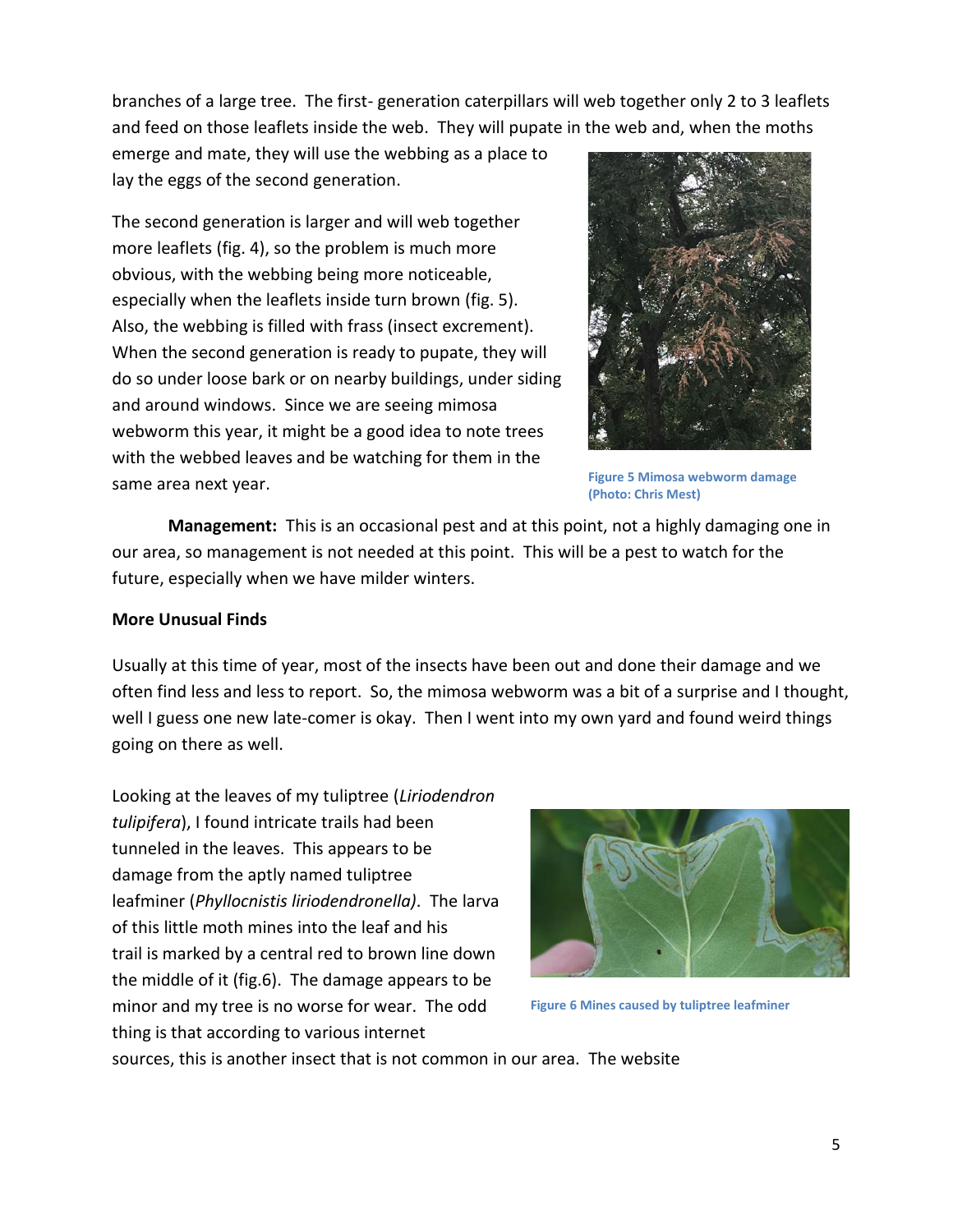branches of a large tree. The first- generation caterpillars will web together only 2 to 3 leaflets and feed on those leaflets inside the web. They will pupate in the web and, when the moths

emerge and mate, they will use the webbing as a place to lay the eggs of the second generation.

The second generation is larger and will web together more leaflets (fig. 4), so the problem is much more obvious, with the webbing being more noticeable, especially when the leaflets inside turn brown (fig. 5). Also, the webbing is filled with frass (insect excrement). When the second generation is ready to pupate, they will do so under loose bark or on nearby buildings, under siding and around windows. Since we are seeing mimosa webworm this year, it might be a good idea to note trees with the webbed leaves and be watching for them in the same area next year.



**Figure 5 Mimosa webworm damage (Photo: Chris Mest)**

**Management:** This is an occasional pest and at this point, not a highly damaging one in our area, so management is not needed at this point. This will be a pest to watch for the future, especially when we have milder winters.

#### **More Unusual Finds**

Usually at this time of year, most of the insects have been out and done their damage and we often find less and less to report. So, the mimosa webworm was a bit of a surprise and I thought, well I guess one new late-comer is okay. Then I went into my own yard and found weird things going on there as well.

Looking at the leaves of my tuliptree (*Liriodendron tulipifera*), I found intricate trails had been tunneled in the leaves. This appears to be damage from the aptly named tuliptree leafminer (*Phyllocnistis liriodendronella)*. The larva of this little moth mines into the leaf and his trail is marked by a central red to brown line down the middle of it (fig.6). The damage appears to be minor and my tree is no worse for wear. The odd thing is that according to various internet



**Figure 6 Mines caused by tuliptree leafminer**

sources, this is another insect that is not common in our area. The website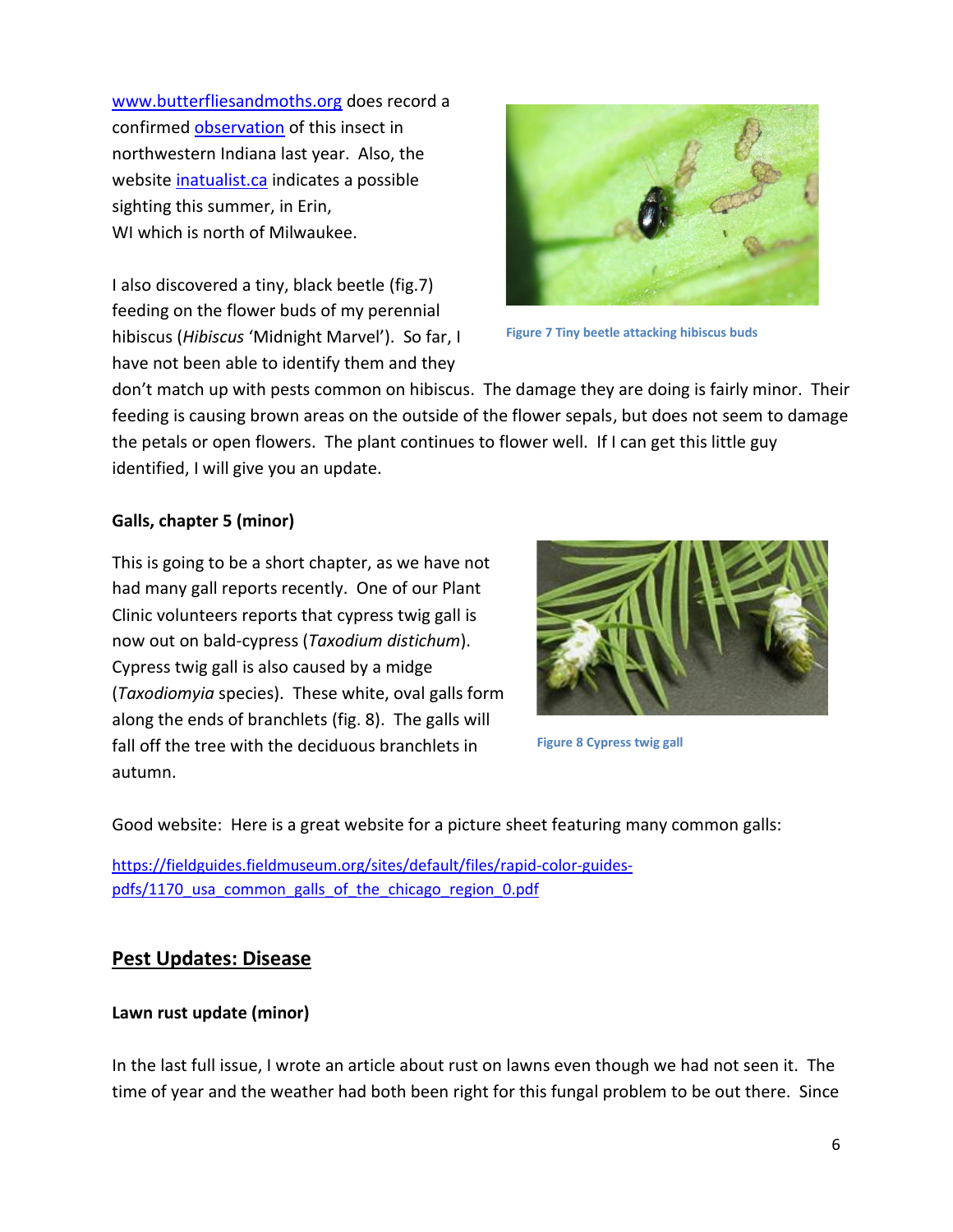[www.butterfliesandmoths.org](http://www.butterfliesandmoths.org/) does record a confirmed [observation](https://www.butterfliesandmoths.org/species/phyllocnistis-liriodendronella) of this insect in northwestern Indiana last year. Also, the website [inatualist.ca](https://inaturalist.ca/observations/53304332) indicates a possible sighting this summer, in Erin, WI which is north of Milwaukee.

I also discovered a tiny, black beetle (fig.7) feeding on the flower buds of my perennial hibiscus (*Hibiscus* 'Midnight Marvel'). So far, I have not been able to identify them and they



**Figure 7 Tiny beetle attacking hibiscus buds**

don't match up with pests common on hibiscus. The damage they are doing is fairly minor. Their feeding is causing brown areas on the outside of the flower sepals, but does not seem to damage the petals or open flowers. The plant continues to flower well. If I can get this little guy identified, I will give you an update.

# **Galls, chapter 5 (minor)**

This is going to be a short chapter, as we have not had many gall reports recently. One of our Plant Clinic volunteers reports that cypress twig gall is now out on bald-cypress (*Taxodium distichum*). Cypress twig gall is also caused by a midge (*Taxodiomyia* species). These white, oval galls form along the ends of branchlets (fig. 8). The galls will fall off the tree with the deciduous branchlets in autumn.



**Figure 8 Cypress twig gall**

Good website: Here is a great website for a picture sheet featuring many common galls:

[https://fieldguides.fieldmuseum.org/sites/default/files/rapid-color-guides](https://fieldguides.fieldmuseum.org/sites/default/files/rapid-color-guides-pdfs/1170_usa_common_galls_of_the_chicago_region_0.pdf)pdfs/1170 usa common galls of the chicago region 0.pdf

# **Pest Updates: Disease**

#### **Lawn rust update (minor)**

In the last full issue, I wrote an article about rust on lawns even though we had not seen it. The time of year and the weather had both been right for this fungal problem to be out there. Since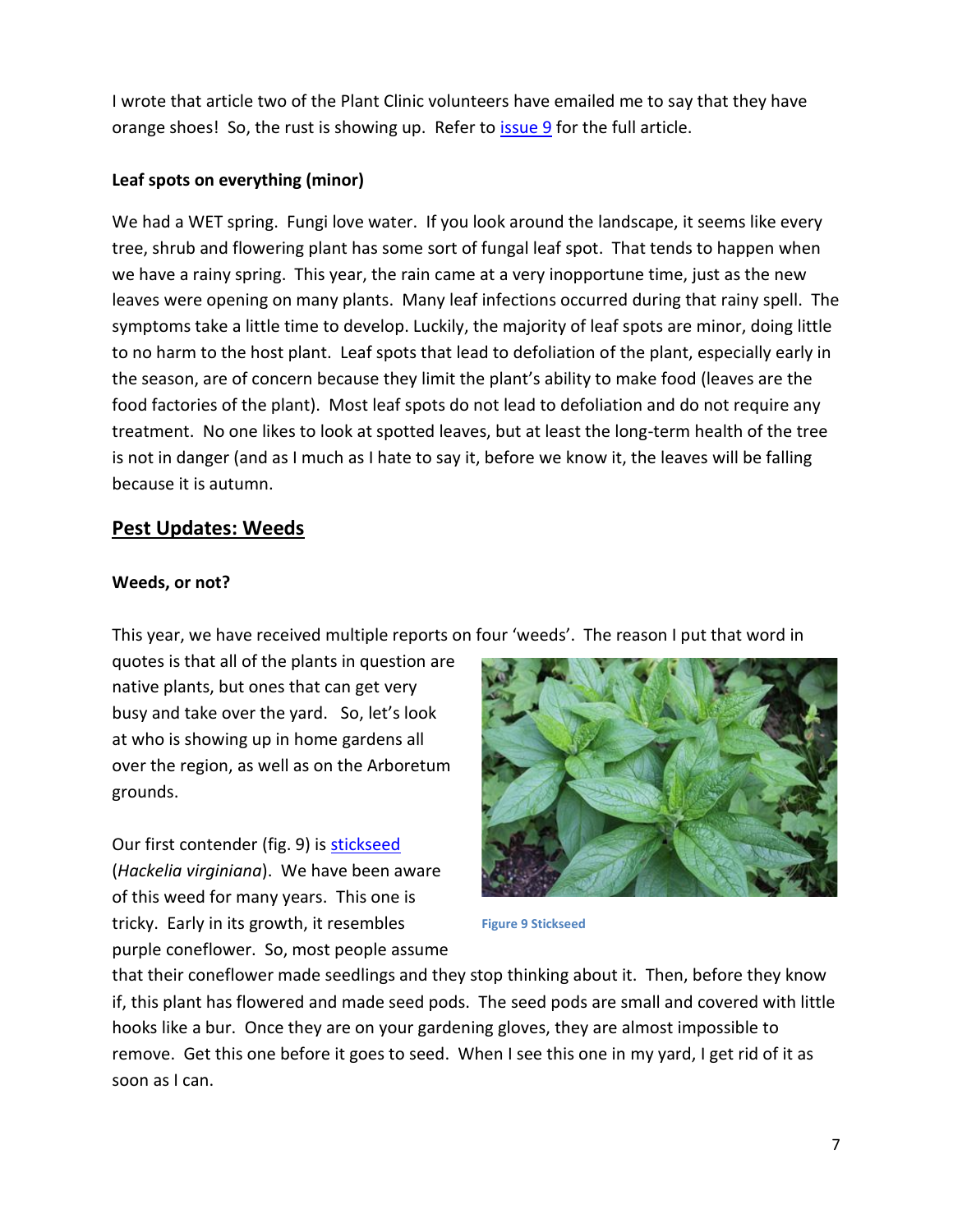I wrote that article two of the Plant Clinic volunteers have emailed me to say that they have orange shoes! So, the rust is showing up. Refer to [issue 9](https://www.mortonarb.org/news/plant-health-care-report-issue-2020-9) for the full article.

### **Leaf spots on everything (minor)**

We had a WET spring. Fungi love water. If you look around the landscape, it seems like every tree, shrub and flowering plant has some sort of fungal leaf spot. That tends to happen when we have a rainy spring. This year, the rain came at a very inopportune time, just as the new leaves were opening on many plants. Many leaf infections occurred during that rainy spell. The symptoms take a little time to develop. Luckily, the majority of leaf spots are minor, doing little to no harm to the host plant. Leaf spots that lead to defoliation of the plant, especially early in the season, are of concern because they limit the plant's ability to make food (leaves are the food factories of the plant). Most leaf spots do not lead to defoliation and do not require any treatment. No one likes to look at spotted leaves, but at least the long-term health of the tree is not in danger (and as I much as I hate to say it, before we know it, the leaves will be falling because it is autumn.

# **Pest Updates: Weeds**

#### **Weeds, or not?**

This year, we have received multiple reports on four 'weeds'. The reason I put that word in

quotes is that all of the plants in question are native plants, but ones that can get very busy and take over the yard. So, let's look at who is showing up in home gardens all over the region, as well as on the Arboretum grounds.

Our first contender (fig. 9) is [stickseed](https://www.illinoiswildflowers.info/woodland/plants/stickseed.htm) (*Hackelia virginiana*). We have been aware of this weed for many years. This one is tricky. Early in its growth, it resembles purple coneflower. So, most people assume



**Figure 9 Stickseed**

that their coneflower made seedlings and they stop thinking about it. Then, before they know if, this plant has flowered and made seed pods. The seed pods are small and covered with little hooks like a bur. Once they are on your gardening gloves, they are almost impossible to remove. Get this one before it goes to seed. When I see this one in my yard, I get rid of it as soon as I can.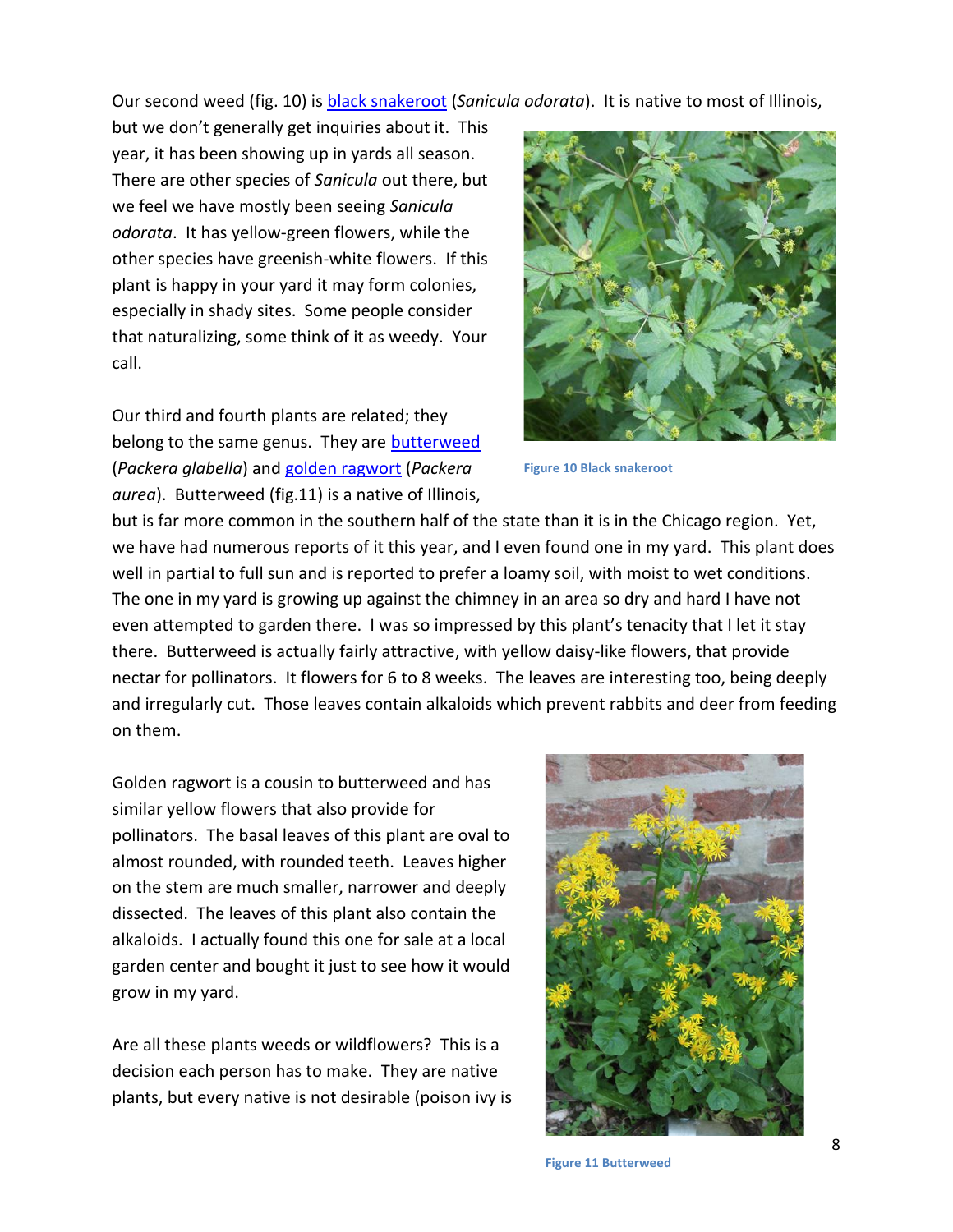Our second weed (fig. 10) is [black snakeroot](https://www.illinoiswildflowers.info/woodland/plants/cm_blsnakeroot.htm) (*Sanicula odorata*). It is native to most of Illinois,

but we don't generally get inquiries about it. This year, it has been showing up in yards all season. There are other species of *Sanicula* out there, but we feel we have mostly been seeing *Sanicula odorata*. It has yellow-green flowers, while the other species have greenish-white flowers. If this plant is happy in your yard it may form colonies, especially in shady sites. Some people consider that naturalizing, some think of it as weedy. Your call.

Our third and fourth plants are related; they belong to the same genus. They are **butterweed** (*Packera glabella*) and [golden ragwort](https://www.illinoiswildflowers.info/woodland/plants/gold_ragwort.htm) (*Packera aurea*). Butterweed (fig.11) is a native of Illinois,



**Figure 10 Black snakeroot**

but is far more common in the southern half of the state than it is in the Chicago region. Yet, we have had numerous reports of it this year, and I even found one in my yard. This plant does well in partial to full sun and is reported to prefer a loamy soil, with moist to wet conditions. The one in my yard is growing up against the chimney in an area so dry and hard I have not even attempted to garden there. I was so impressed by this plant's tenacity that I let it stay there. Butterweed is actually fairly attractive, with yellow daisy-like flowers, that provide nectar for pollinators. It flowers for 6 to 8 weeks. The leaves are interesting too, being deeply and irregularly cut. Those leaves contain alkaloids which prevent rabbits and deer from feeding on them.

Golden ragwort is a cousin to butterweed and has similar yellow flowers that also provide for pollinators. The basal leaves of this plant are oval to almost rounded, with rounded teeth. Leaves higher on the stem are much smaller, narrower and deeply dissected. The leaves of this plant also contain the alkaloids. I actually found this one for sale at a local garden center and bought it just to see how it would grow in my yard.

Are all these plants weeds or wildflowers? This is a decision each person has to make. They are native plants, but every native is not desirable (poison ivy is



**Figure 11 Butterweed**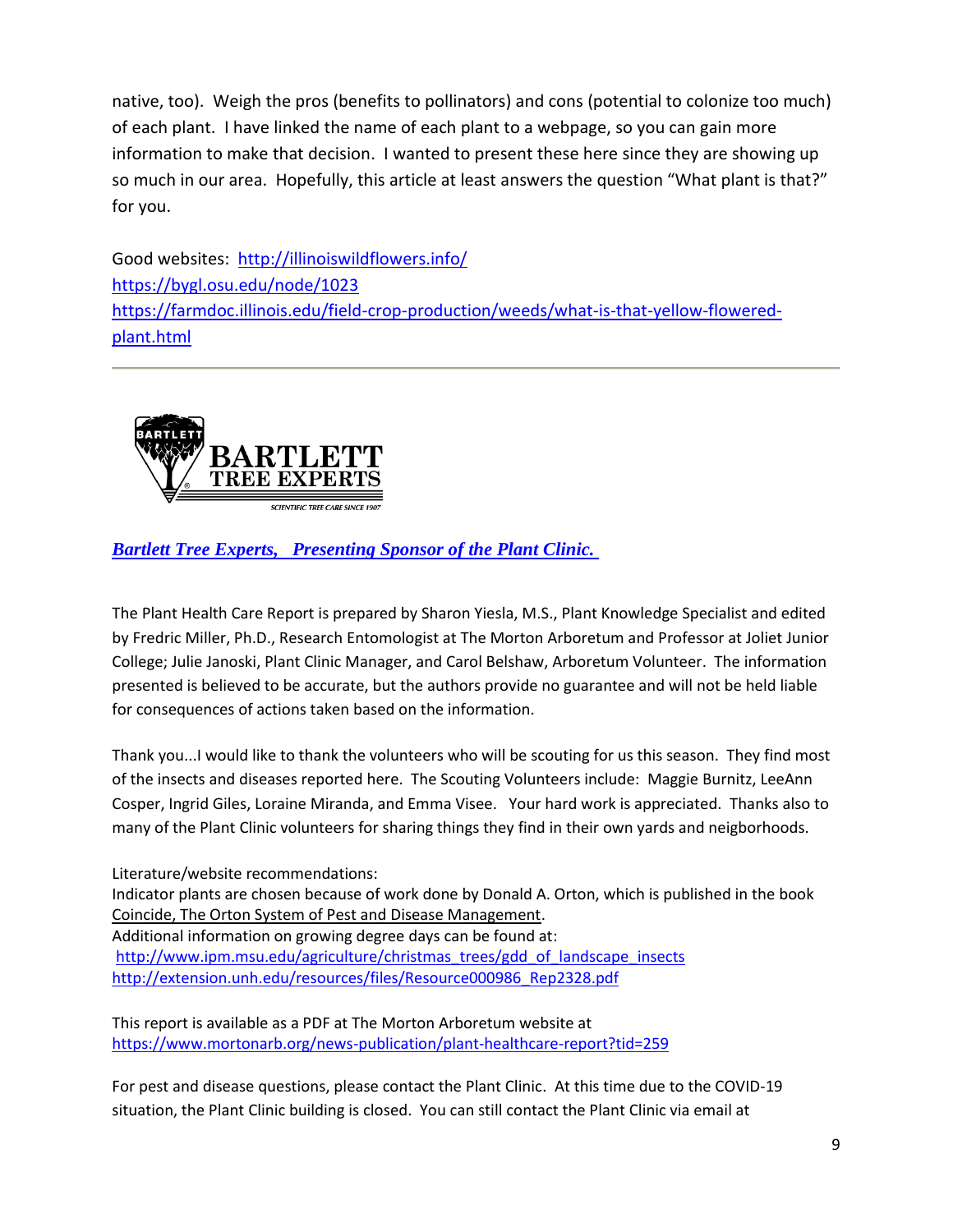native, too). Weigh the pros (benefits to pollinators) and cons (potential to colonize too much) of each plant. I have linked the name of each plant to a webpage, so you can gain more information to make that decision. I wanted to present these here since they are showing up so much in our area. Hopefully, this article at least answers the question "What plant is that?" for you.

Good websites: <http://illinoiswildflowers.info/> <https://bygl.osu.edu/node/1023> [https://farmdoc.illinois.edu/field-crop-production/weeds/what-is-that-yellow-flowered](https://farmdoc.illinois.edu/field-crop-production/weeds/what-is-that-yellow-flowered-plant.html)[plant.html](https://farmdoc.illinois.edu/field-crop-production/weeds/what-is-that-yellow-flowered-plant.html)



# *[Bartlett Tree Experts, Presenting Sponsor of the Plant Clinic.](http://www.bartlett.com/)*

The Plant Health Care Report is prepared by Sharon Yiesla, M.S., Plant Knowledge Specialist and edited by Fredric Miller, Ph.D., Research Entomologist at The Morton Arboretum and Professor at Joliet Junior College; Julie Janoski, Plant Clinic Manager, and Carol Belshaw, Arboretum Volunteer. The information presented is believed to be accurate, but the authors provide no guarantee and will not be held liable for consequences of actions taken based on the information.

Thank you...I would like to thank the volunteers who will be scouting for us this season. They find most of the insects and diseases reported here. The Scouting Volunteers include: Maggie Burnitz, LeeAnn Cosper, Ingrid Giles, Loraine Miranda, and Emma Visee. Your hard work is appreciated. Thanks also to many of the Plant Clinic volunteers for sharing things they find in their own yards and neigborhoods.

Literature/website recommendations: Indicator plants are chosen because of work done by Donald A. Orton, which is published in the book Coincide, The Orton System of Pest and Disease Management. Additional information on growing degree days can be found at: [http://www.ipm.msu.edu/agriculture/christmas\\_trees/gdd\\_of\\_landscape\\_insects](http://www.ipm.msu.edu/agriculture/christmas_trees/gdd_of_landscape_insects) [http://extension.unh.edu/resources/files/Resource000986\\_Rep2328.pdf](http://extension.unh.edu/resources/files/Resource000986_Rep2328.pdf)

This report is available as a PDF at The Morton Arboretum website at <https://www.mortonarb.org/news-publication/plant-healthcare-report?tid=259>

For pest and disease questions, please contact the Plant Clinic. At this time due to the COVID-19 situation, the Plant Clinic building is closed. You can still contact the Plant Clinic via email at